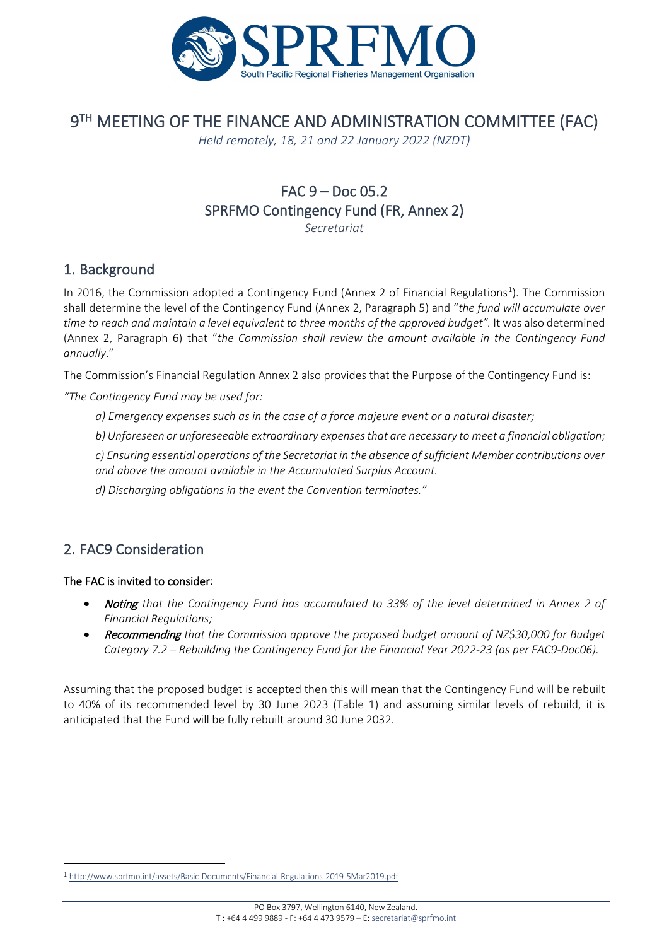

# 9TH MEETING OF THE FINANCE AND ADMINISTRATION COMMITTEE (FAC)

*Held remotely, 18, 21 and 22 January 2022 (NZDT)*

## FAC 9 – Doc 05.2 SPRFMO Contingency Fund (FR, Annex 2)

*Secretariat*

### 1. Background

In 20[1](#page-0-0)6, the Commission adopted a Contingency Fund (Annex 2 of Financial Regulations<sup>1</sup>). The Commission shall determine the level of the Contingency Fund (Annex 2, Paragraph 5) and "*the fund will accumulate over* time to reach and maintain a level equivalent to three months of the approved budget". It was also determined (Annex 2, Paragraph 6) that "*the Commission shall review the amount available in the Contingency Fund annually*."

The Commission's Financial Regulation Annex 2 also provides that the Purpose of the Contingency Fund is:

*"The Contingency Fund may be used for:*

*a) Emergency expenses such as in the case of a force majeure event or a natural disaster;* 

*b) Unforeseen or unforeseeable extraordinary expenses that are necessary to meet a financial obligation;* 

*c) Ensuring essential operations of the Secretariat in the absence of sufficient Member contributions over and above the amount available in the Accumulated Surplus Account.*

*d) Discharging obligations in the event the Convention terminates."*

## 2. FAC9 Consideration

#### The FAC is invited to consider:

- Noting *that the Contingency Fund has accumulated to 33% of the level determined in Annex 2 of Financial Regulations;*
- Recommending *that the Commission approve the proposed budget amount of NZ\$30,000 for Budget Category 7.2 – Rebuilding the Contingency Fund for the Financial Year 2022-23 (as per FAC9-Doc06).*

Assuming that the proposed budget is accepted then this will mean that the Contingency Fund will be rebuilt to 40% of its recommended level by 30 June 2023 (Table 1) and assuming similar levels of rebuild, it is anticipated that the Fund will be fully rebuilt around 30 June 2032.

<span id="page-0-0"></span><sup>1</sup> <http://www.sprfmo.int/assets/Basic-Documents/Financial-Regulations-2019-5Mar2019.pdf>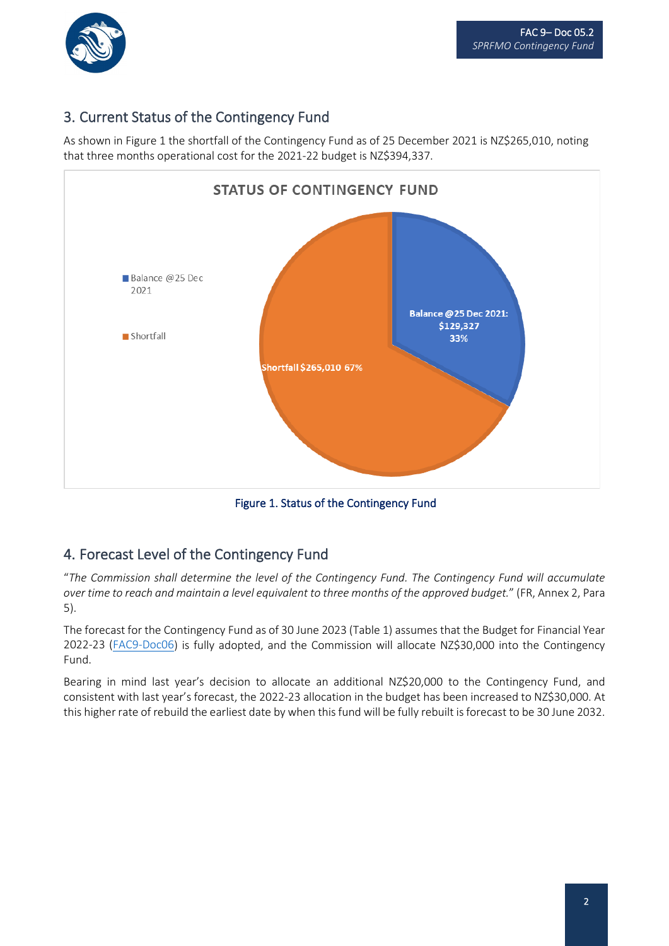

j

## 3. Current Status of the Contingency Fund

As shown in Figure 1 the shortfall of the Contingency Fund as of 25 December 2021 is NZ\$265,010, noting that three months operational cost for the 2021-22 budget is NZ\$394,337.



Figure 1. Status of the Contingency Fund

### 4. Forecast Level of the Contingency Fund

"*The Commission shall determine the level of the Contingency Fund. The Contingency Fund will accumulate over time to reach and maintain a level equivalent to three months of the approved budget.*" (FR, Annex 2, Para 5).

The forecast for the Contingency Fund as of 30 June 2023 (Table 1) assumes that the Budget for Financial Year 2022-23 [\(FAC9-Doc06\)](http://www.sprfmo.int/assets/2022-Annual-Meeting/03-FAC9/FAC9-Doc06-Draft-Budget-for-Financial-Year-2022-23-and-2023-24.pdf) is fully adopted, and the Commission will allocate NZ\$30,000 into the Contingency Fund.

Bearing in mind last year's decision to allocate an additional NZ\$20,000 to the Contingency Fund, and consistent with last year's forecast, the 2022-23 allocation in the budget has been increased to NZ\$30,000. At this higher rate of rebuild the earliest date by when this fund will be fully rebuilt is forecast to be 30 June 2032.